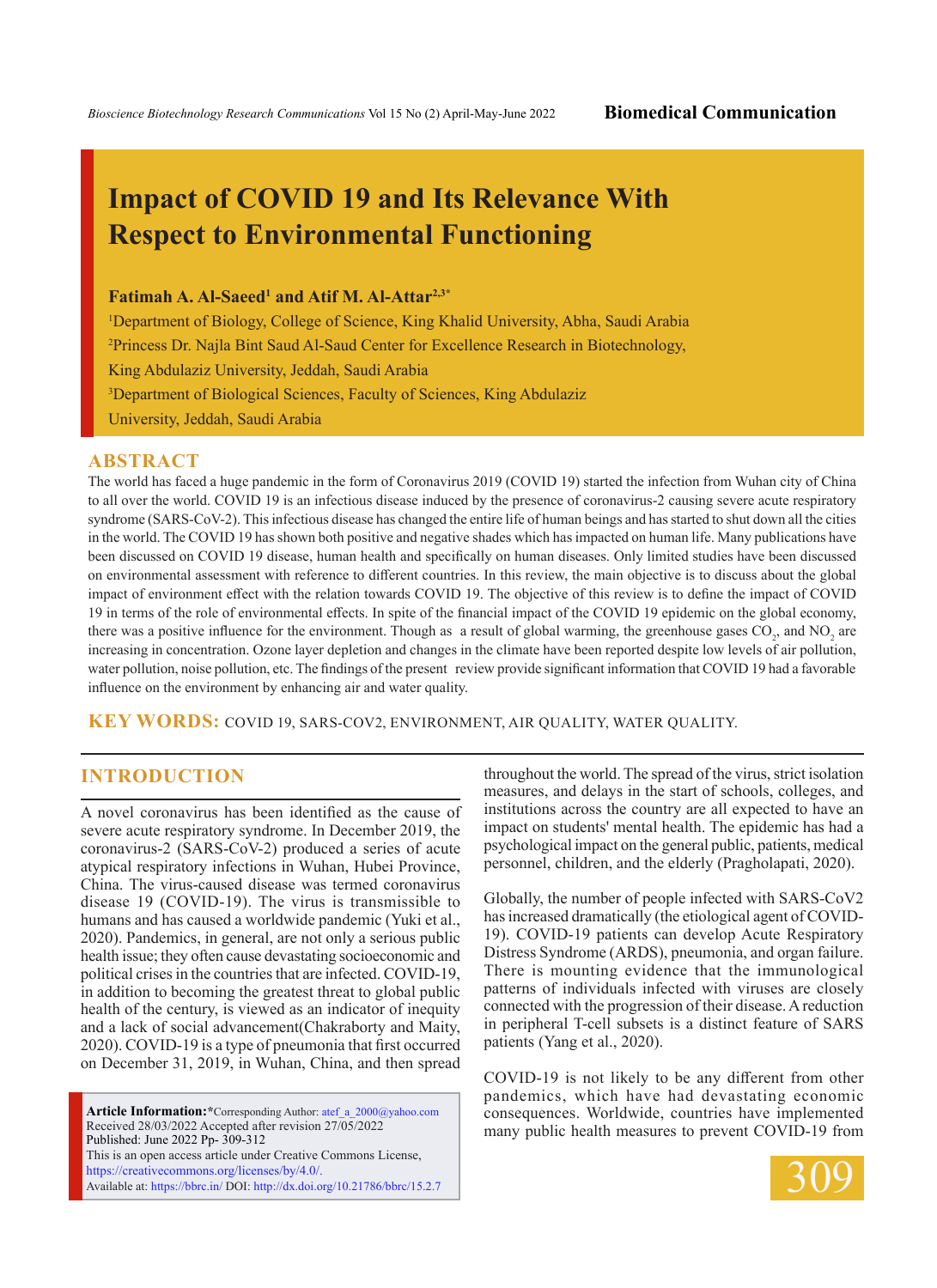# **Impact of COVID 19 and Its Relevance With Respect to Environmental Functioning**

### Fatimah A. Al-Saeed<sup>1</sup> and Atif M. Al-Attar<sup>2,3\*</sup>

1 Department of Biology, College of Science, King Khalid University, Abha, Saudi Arabia 2 Princess Dr. Najla Bint Saud Al-Saud Center for Excellence Research in Biotechnology, King Abdulaziz University, Jeddah, Saudi Arabia 3 Department of Biological Sciences, Faculty of Sciences, King Abdulaziz University, Jeddah, Saudi Arabia

#### **ABSTRACT**

The world has faced a huge pandemic in the form of Coronavirus 2019 (COVID 19) started the infection from Wuhan city of China to all over the world. COVID 19 is an infectious disease induced by the presence of coronavirus-2 causing severe acute respiratory syndrome (SARS-CoV-2). This infectious disease has changed the entire life of human beings and has started to shut down all the cities in the world. The COVID 19 has shown both positive and negative shades which has impacted on human life. Many publications have been discussed on COVID 19 disease, human health and specifically on human diseases. Only limited studies have been discussed on environmental assessment with reference to different countries. In this review, the main objective is to discuss about the global impact of environment effect with the relation towards COVID 19. The objective of this review is to define the impact of COVID 19 in terms of the role of environmental effects. In spite of the financial impact of the COVID 19 epidemic on the global economy, there was a positive influence for the environment. Though as a result of global warming, the greenhouse gases  $CO_2$ , and  $NO_2$  are increasing in concentration. Ozone layer depletion and changes in the climate have been reported despite low levels of air pollution, water pollution, noise pollution, etc. The findings of the present review provide significant information that COVID 19 had a favorable influence on the environment by enhancing air and water quality.

**KEY WORDS:** COVID 19, SARS-CoV2, Environment, Air quality, Water Quality.

## **INTRODUCTION**

A novel coronavirus has been identified as the cause of severe acute respiratory syndrome. In December 2019, the coronavirus-2 (SARS-CoV-2) produced a series of acute atypical respiratory infections in Wuhan, Hubei Province, China. The virus-caused disease was termed coronavirus disease 19 (COVID-19). The virus is transmissible to humans and has caused a worldwide pandemic (Yuki et al., 2020). Pandemics, in general, are not only a serious public health issue; they often cause devastating socioeconomic and political crises in the countries that are infected. COVID-19, in addition to becoming the greatest threat to global public health of the century, is viewed as an indicator of inequity and a lack of social advancement(Chakraborty and Maity, 2020). COVID-19 is a type of pneumonia that first occurred on December 31, 2019, in Wuhan, China, and then spread

**Article Information:\***Corresponding Author: atef\_a\_2000@yahoo.com Received 28/03/2022 Accepted after revision 27/05/2022 Published: June 2022 Pp- 309-312 This is an open access article under Creative Commons License, https://creativecommons.org/licenses/by/4.0/. Available at: https://bbrc.in/ DOI: http://dx.doi.org/10.21786/bbrc/15.2.7 throughout the world. The spread of the virus, strict isolation measures, and delays in the start of schools, colleges, and institutions across the country are all expected to have an impact on students' mental health. The epidemic has had a psychological impact on the general public, patients, medical personnel, children, and the elderly (Pragholapati, 2020).

Globally, the number of people infected with SARS-CoV2 has increased dramatically (the etiological agent of COVID-19). COVID-19 patients can develop Acute Respiratory Distress Syndrome (ARDS), pneumonia, and organ failure. There is mounting evidence that the immunological patterns of individuals infected with viruses are closely connected with the progression of their disease. A reduction in peripheral T-cell subsets is a distinct feature of SARS patients (Yang et al., 2020).

COVID-19 is not likely to be any different from other pandemics, which have had devastating economic consequences. Worldwide, countries have implemented many public health measures to prevent COVID-19 from

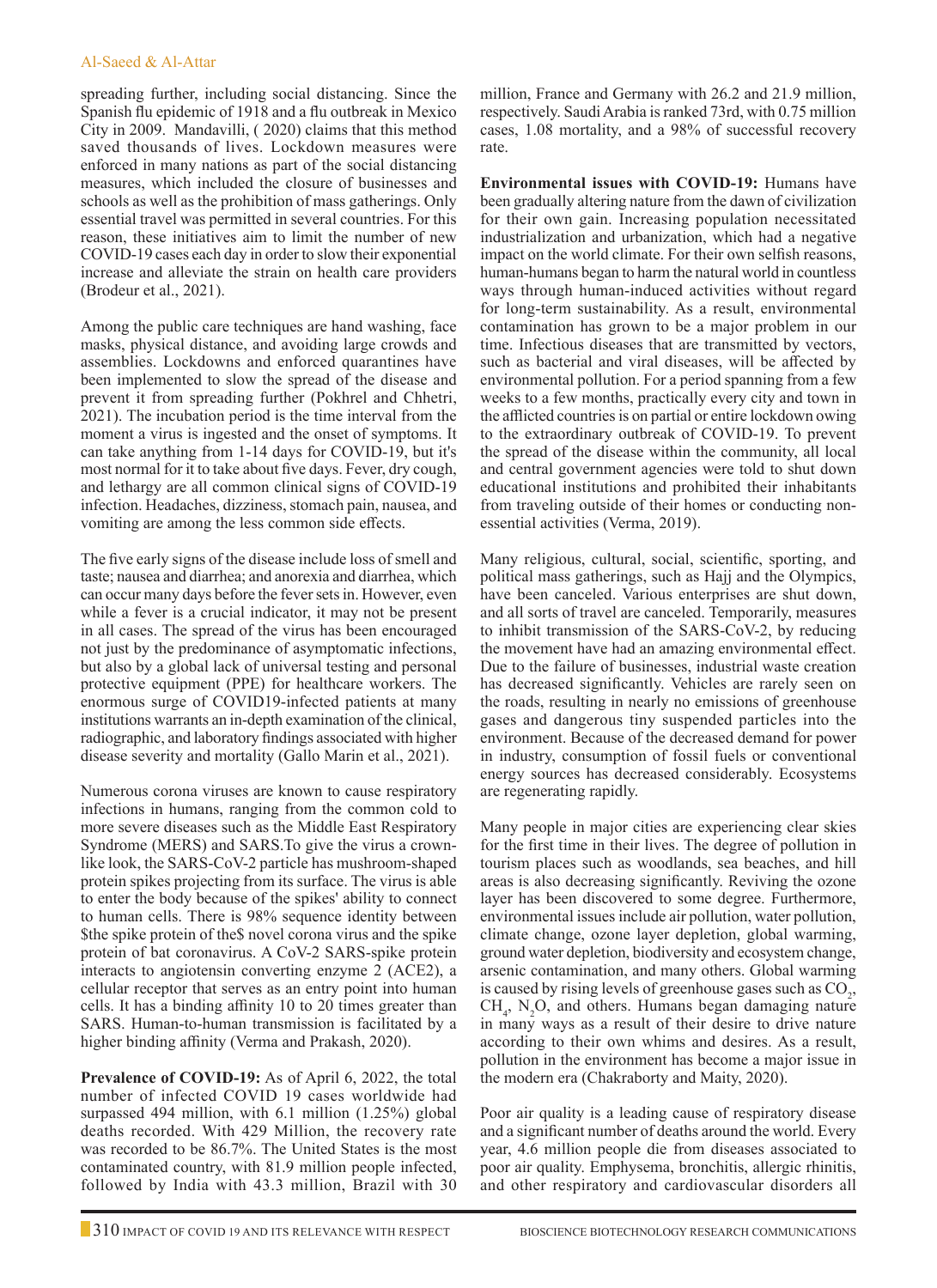spreading further, including social distancing. Since the Spanish flu epidemic of 1918 and a flu outbreak in Mexico City in 2009. Mandavilli, ( 2020) claims that this method saved thousands of lives. Lockdown measures were enforced in many nations as part of the social distancing measures, which included the closure of businesses and schools as well as the prohibition of mass gatherings. Only essential travel was permitted in several countries. For this reason, these initiatives aim to limit the number of new COVID-19 cases each day in order to slow their exponential increase and alleviate the strain on health care providers (Brodeur et al., 2021).

Among the public care techniques are hand washing, face masks, physical distance, and avoiding large crowds and assemblies. Lockdowns and enforced quarantines have been implemented to slow the spread of the disease and prevent it from spreading further (Pokhrel and Chhetri, 2021). The incubation period is the time interval from the moment a virus is ingested and the onset of symptoms. It can take anything from 1-14 days for COVID-19, but it's most normal for it to take about five days. Fever, dry cough, and lethargy are all common clinical signs of COVID-19 infection. Headaches, dizziness, stomach pain, nausea, and vomiting are among the less common side effects.

The five early signs of the disease include loss of smell and taste; nausea and diarrhea; and anorexia and diarrhea, which can occur many days before the fever sets in. However, even while a fever is a crucial indicator, it may not be present in all cases. The spread of the virus has been encouraged not just by the predominance of asymptomatic infections, but also by a global lack of universal testing and personal protective equipment (PPE) for healthcare workers. The enormous surge of COVID19-infected patients at many institutions warrants an in-depth examination of the clinical, radiographic, and laboratory findings associated with higher disease severity and mortality (Gallo Marin et al., 2021).

Numerous corona viruses are known to cause respiratory infections in humans, ranging from the common cold to more severe diseases such as the Middle East Respiratory Syndrome (MERS) and SARS.To give the virus a crownlike look, the SARS-CoV-2 particle has mushroom-shaped protein spikes projecting from its surface. The virus is able to enter the body because of the spikes' ability to connect to human cells. There is 98% sequence identity between \$the spike protein of the\$ novel corona virus and the spike protein of bat coronavirus. A CoV-2 SARS-spike protein interacts to angiotensin converting enzyme 2 (ACE2), a cellular receptor that serves as an entry point into human cells. It has a binding affinity 10 to 20 times greater than SARS. Human-to-human transmission is facilitated by a higher binding affinity (Verma and Prakash, 2020).

**Prevalence of COVID-19:** As of April 6, 2022, the total number of infected COVID 19 cases worldwide had surpassed 494 million, with 6.1 million (1.25%) global deaths recorded. With 429 Million, the recovery rate was recorded to be 86.7%. The United States is the most contaminated country, with 81.9 million people infected, followed by India with 43.3 million, Brazil with 30

million, France and Germany with 26.2 and 21.9 million, respectively. Saudi Arabia is ranked 73rd, with 0.75 million cases, 1.08 mortality, and a 98% of successful recovery rate.

**Environmental issues with COVID-19:** Humans have been gradually altering nature from the dawn of civilization for their own gain. Increasing population necessitated industrialization and urbanization, which had a negative impact on the world climate. For their own selfish reasons, human-humans began to harm the natural world in countless ways through human-induced activities without regard for long-term sustainability. As a result, environmental contamination has grown to be a major problem in our time. Infectious diseases that are transmitted by vectors, such as bacterial and viral diseases, will be affected by environmental pollution. For a period spanning from a few weeks to a few months, practically every city and town in the afflicted countries is on partial or entire lockdown owing to the extraordinary outbreak of COVID-19. To prevent the spread of the disease within the community, all local and central government agencies were told to shut down educational institutions and prohibited their inhabitants from traveling outside of their homes or conducting nonessential activities (Verma, 2019).

Many religious, cultural, social, scientific, sporting, and political mass gatherings, such as Hajj and the Olympics, have been canceled. Various enterprises are shut down, and all sorts of travel are canceled. Temporarily, measures to inhibit transmission of the SARS-CoV-2, by reducing the movement have had an amazing environmental effect. Due to the failure of businesses, industrial waste creation has decreased significantly. Vehicles are rarely seen on the roads, resulting in nearly no emissions of greenhouse gases and dangerous tiny suspended particles into the environment. Because of the decreased demand for power in industry, consumption of fossil fuels or conventional energy sources has decreased considerably. Ecosystems are regenerating rapidly.

Many people in major cities are experiencing clear skies for the first time in their lives. The degree of pollution in tourism places such as woodlands, sea beaches, and hill areas is also decreasing significantly. Reviving the ozone layer has been discovered to some degree. Furthermore, environmental issues include air pollution, water pollution, climate change, ozone layer depletion, global warming, ground water depletion, biodiversity and ecosystem change, arsenic contamination, and many others. Global warming is caused by rising levels of greenhouse gases such as  $CO<sub>2</sub>$ ,  $CH_4$ , N<sub>2</sub>O, and others. Humans began damaging nature in many ways as a result of their desire to drive nature according to their own whims and desires. As a result, pollution in the environment has become a major issue in the modern era (Chakraborty and Maity, 2020).

Poor air quality is a leading cause of respiratory disease and a significant number of deaths around the world. Every year, 4.6 million people die from diseases associated to poor air quality. Emphysema, bronchitis, allergic rhinitis, and other respiratory and cardiovascular disorders all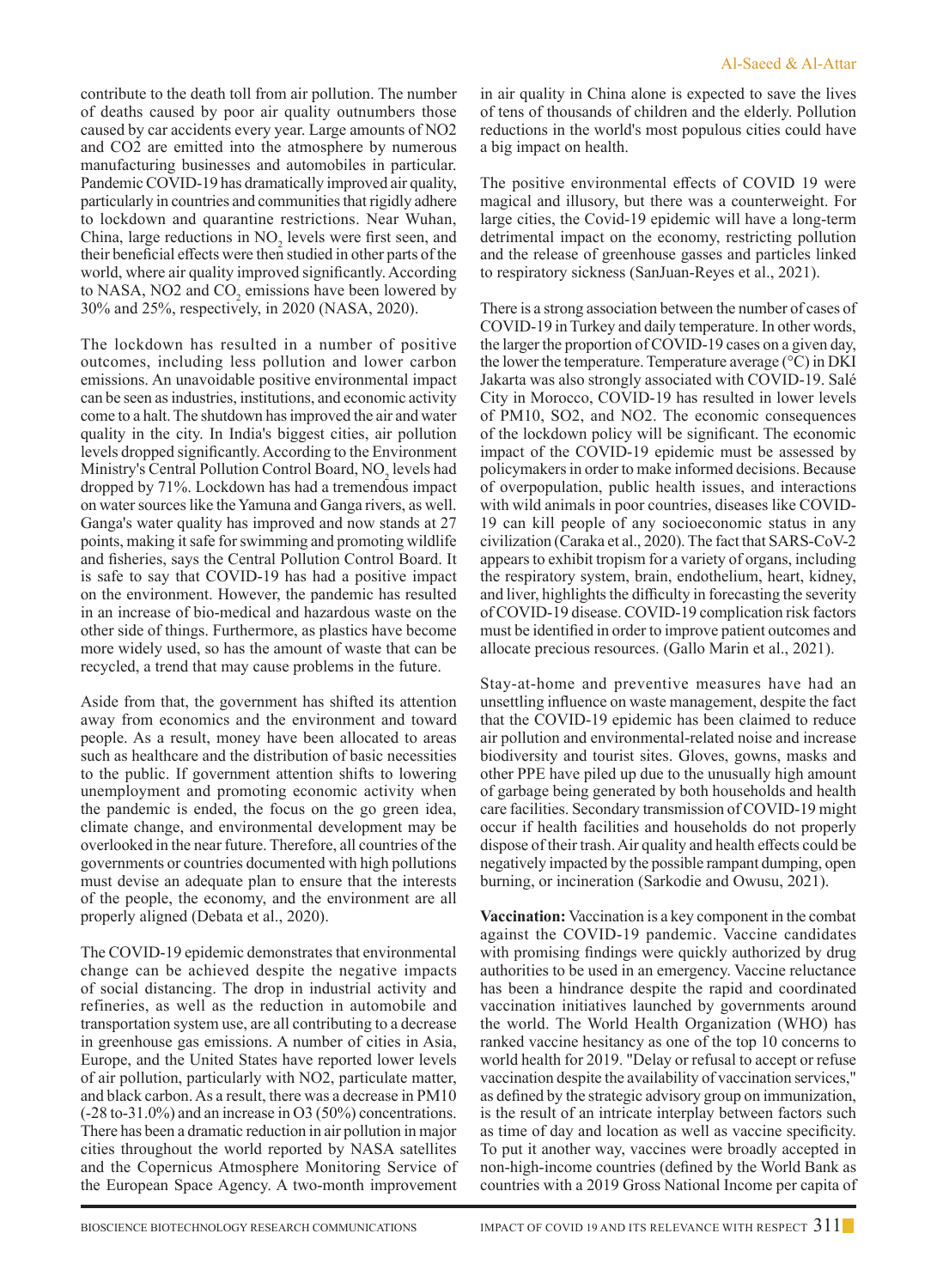contribute to the death toll from air pollution. The number of deaths caused by poor air quality outnumbers those caused by car accidents every year. Large amounts of NO2 and CO2 are emitted into the atmosphere by numerous manufacturing businesses and automobiles in particular. Pandemic COVID-19 has dramatically improved air quality, particularly in countries and communities that rigidly adhere to lockdown and quarantine restrictions. Near Wuhan, China, large reductions in  $NO<sub>2</sub>$  levels were first seen, and their beneficial effects were then studied in other parts of the world, where air quality improved significantly. According to NASA, NO2 and  $CO<sub>2</sub>$  emissions have been lowered by 30% and 25%, respectively, in 2020 (NASA, 2020).

The lockdown has resulted in a number of positive outcomes, including less pollution and lower carbon emissions. An unavoidable positive environmental impact can be seen as industries, institutions, and economic activity come to a halt. The shutdown has improved the air and water quality in the city. In India's biggest cities, air pollution levels dropped significantly. According to the Environment Ministry's Central Pollution Control Board,  $NO_2$  levels had dropped by 71%. Lockdown has had a tremendous impact on water sources like the Yamuna and Ganga rivers, as well. Ganga's water quality has improved and now stands at 27 points, making it safe for swimming and promoting wildlife and fisheries, says the Central Pollution Control Board. It is safe to say that COVID-19 has had a positive impact on the environment. However, the pandemic has resulted in an increase of bio-medical and hazardous waste on the other side of things. Furthermore, as plastics have become more widely used, so has the amount of waste that can be recycled, a trend that may cause problems in the future.

Aside from that, the government has shifted its attention away from economics and the environment and toward people. As a result, money have been allocated to areas such as healthcare and the distribution of basic necessities to the public. If government attention shifts to lowering unemployment and promoting economic activity when the pandemic is ended, the focus on the go green idea, climate change, and environmental development may be overlooked in the near future. Therefore, all countries of the governments or countries documented with high pollutions must devise an adequate plan to ensure that the interests of the people, the economy, and the environment are all properly aligned (Debata et al., 2020).

The COVID-19 epidemic demonstrates that environmental change can be achieved despite the negative impacts of social distancing. The drop in industrial activity and refineries, as well as the reduction in automobile and transportation system use, are all contributing to a decrease in greenhouse gas emissions. A number of cities in Asia, Europe, and the United States have reported lower levels of air pollution, particularly with NO2, particulate matter, and black carbon. As a result, there was a decrease in PM10 (-28 to-31.0%) and an increase in O3 (50%) concentrations. There has been a dramatic reduction in air pollution in major cities throughout the world reported by NASA satellites and the Copernicus Atmosphere Monitoring Service of the European Space Agency. A two-month improvement in air quality in China alone is expected to save the lives of tens of thousands of children and the elderly. Pollution reductions in the world's most populous cities could have a big impact on health.

The positive environmental effects of COVID 19 were magical and illusory, but there was a counterweight. For large cities, the Covid-19 epidemic will have a long-term detrimental impact on the economy, restricting pollution and the release of greenhouse gasses and particles linked to respiratory sickness (SanJuan-Reyes et al., 2021).

There is a strong association between the number of cases of COVID-19 in Turkey and daily temperature. In other words, the larger the proportion of COVID-19 cases on a given day, the lower the temperature. Temperature average  $({}^{\circ}C)$  in DKI Jakarta was also strongly associated with COVID-19. Salé City in Morocco, COVID-19 has resulted in lower levels of PM10, SO2, and NO2. The economic consequences of the lockdown policy will be significant. The economic impact of the COVID-19 epidemic must be assessed by policymakers in order to make informed decisions. Because of overpopulation, public health issues, and interactions with wild animals in poor countries, diseases like COVID-19 can kill people of any socioeconomic status in any civilization (Caraka et al., 2020). The fact that SARS-CoV-2 appears to exhibit tropism for a variety of organs, including the respiratory system, brain, endothelium, heart, kidney, and liver, highlights the difficulty in forecasting the severity of COVID-19 disease. COVID-19 complication risk factors must be identified in order to improve patient outcomes and allocate precious resources. (Gallo Marin et al., 2021).

Stay-at-home and preventive measures have had an unsettling influence on waste management, despite the fact that the COVID-19 epidemic has been claimed to reduce air pollution and environmental-related noise and increase biodiversity and tourist sites. Gloves, gowns, masks and other PPE have piled up due to the unusually high amount of garbage being generated by both households and health care facilities. Secondary transmission of COVID-19 might occur if health facilities and households do not properly dispose of their trash. Air quality and health effects could be negatively impacted by the possible rampant dumping, open burning, or incineration (Sarkodie and Owusu, 2021).

**Vaccination:** Vaccination is a key component in the combat against the COVID-19 pandemic. Vaccine candidates with promising findings were quickly authorized by drug authorities to be used in an emergency. Vaccine reluctance has been a hindrance despite the rapid and coordinated vaccination initiatives launched by governments around the world. The World Health Organization (WHO) has ranked vaccine hesitancy as one of the top 10 concerns to world health for 2019. "Delay or refusal to accept or refuse vaccination despite the availability of vaccination services," as defined by the strategic advisory group on immunization, is the result of an intricate interplay between factors such as time of day and location as well as vaccine specificity. To put it another way, vaccines were broadly accepted in non-high-income countries (defined by the World Bank as countries with a 2019 Gross National Income per capita of